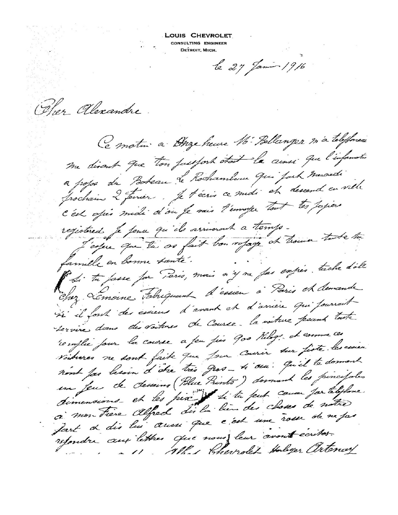LOUIS CHEVROLET CONSULTING ENGINEER DETROIT, MICH.

le 27 Jamin 1916

Oher alexandre.

Le motin a Duze heure M. Bellanger in a telefone me discut que ton jaujort était le cinsi que l'information a popo du Porteau de Rochamberus qui part mescreti prochain 2 février. Je técris ce midi et descend en ville C'est opér midi d'ou je vais l'emoyer tout les papiers registered je penu qu'ils arriveront a temps. L'espec que la se fait bon répage et trouve tode tre famille en bonne santé. Si tu fasse for Paris, mais n'y va fas expés. tache d'elle Chez. Lémoine Tabriquant d'essien à Paris et demande si il font des ésseus d'avant et d'arrière qui pourrait tervire dans des voitures de Course. la voiture pour toute remplie four la course a feu fies 900 Rilogs. et comme ces voidures ne sont faite que jour courir sur fiste les cionne nont fas lesoin d'être très gros-ti ou : qu'il te donnent un feu de desseins (Blue Prints) donnant les pincipales dimensions et les pix di tu peut coura for telylone. ci mon Fière Alfred disla bien des choses de notre fart de dis lui aussi que c'est une rosse de ne pas refondre aux lettres que nous leur avont écrites. All Herrolet Hologer artenay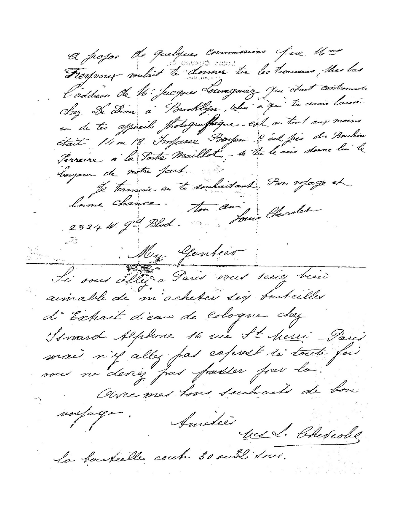A popos de quelques commissions jue 16 Freyvont vouloit te donner tu les trouves the bas l'addresse de 16: Jacques Louregniez qui était contremaite Chez. De Dion à Brooklyn, celui à qui la avoir laisse. in de tes apprecibes protografique. est, on tent sur moins était 14 ou 18. Impasse Boston à est pes du Bouleva Perreire à la Porte Maillet, - si tu le sois donne lui le longour de notre part. Je termine en te souhaitant : Pon royage et lame chance. Then am Jours Cherolet 2324 W. 9- Blod. Hy Gentier Le sous allegra Paris vous seriez bien aimable de m'acheter sig bouteiller d'Extrait d'eau de Cologne chez Is mard Alphone 16 rue St herri Paris mais n'il allez pas coprest de toute fais sous ne deviez pas parelles par la. Oive mas hous souhach de bon noutage. Amities des S. Cheseolog la backelle coule 30 aussi suis.